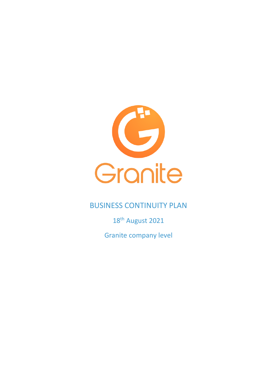

# BUSINESS CONTINUITY PLAN

18<sup>th</sup> August 2021

Granite company level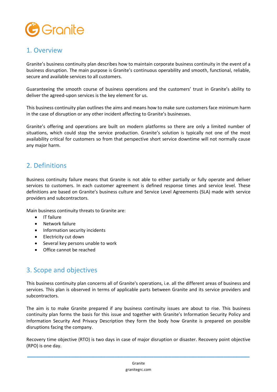

### 1. Overview

Granite's business continuity plan describes how to maintain corporate business continuity in the event of a business disruption. The main purpose is Granite's continuous operability and smooth, functional, reliable, secure and available services to all customers.

Guaranteeing the smooth course of business operations and the customers' trust in Granite's ability to deliver the agreed-upon services is the key element for us.

This business continuity plan outlines the aims and means how to make sure customers face minimum harm in the case of disruption or any other incident affecting to Granite's businesses.

Granite's offering and operations are built on modern platforms so there are only a limited number of situations, which could stop the service production. Granite's solution is typically not one of the most availability critical for customers so from that perspective short service downtime will not normally cause any major harm.

# 2. Definitions

Business continuity failure means that Granite is not able to either partially or fully operate and deliver services to customers. In each customer agreement is defined response times and service level. These definitions are based on Granite's business culture and Service Level Agreements (SLA) made with service providers and subcontractors.

Main business continuity threats to Granite are:

- IT failure
- Network failure
- Information security incidents
- Electricity cut down
- Several key persons unable to work
- Office cannot be reached

## 3. Scope and objectives

This business continuity plan concerns all of Granite's operations, i.e. all the different areas of business and services. This plan is observed in terms of applicable parts between Granite and its service providers and subcontractors.

The aim is to make Granite prepared if any business continuity issues are about to rise. This business continuity plan forms the basis for this issue and together with Granite's Information Security Policy and Information Security And Privacy Description they form the body how Granite is prepared on possible disruptions facing the company.

Recovery time objective (RTO) is two days in case of major disruption or disaster. Recovery point objective (RPO) is one day.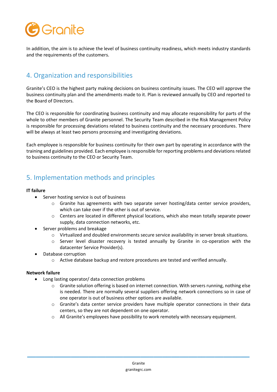

In addition, the aim is to achieve the level of business continuity readiness, which meets industry standards and the requirements of the customers.

# 4. Organization and responsibilities

Granite's CEO is the highest party making decisions on business continuity issues. The CEO will approve the business continuity plan and the amendments made to it. Plan is reviewed annually by CEO and reported to the Board of Directors.

The CEO is responsible for coordinating business continuity and may allocate responsibility for parts of the whole to other members of Granite personnel. The Security Team described in the Risk Management Policy is responsible for processing deviations related to business continuity and the necessary procedures. There will be always at least two persons processing and investigating deviations.

Each employee is responsible for business continuity for their own part by operating in accordance with the training and guidelines provided. Each employee is responsible for reporting problems and deviations related to business continuity to the CEO or Security Team.

# 5. Implementation methods and principles

### **IT failure**

- Server hosting service is out of business
	- $\circ$  Granite has agreements with two separate server hosting/data center service providers, which can take over if the other is out of service.
	- $\circ$  Centers are located in different physical locations, which also mean totally separate power supply, data connection networks, etc.
- Server problems and breakage
	- o Virtualized and doubled environments secure service availability in server break situations.
	- o Server level disaster recovery is tested annually by Granite in co-operation with the datacenter Service Provider(s).
- Database corruption
	- o Active database backup and restore procedures are tested and verified annually.

### **Network failure**

- Long lasting operator/ data connection problems
	- o Granite solution offering is based on internet connection. With servers running, nothing else is needed. There are normally several suppliers offering network connections so in case of one operator is out of business other options are available.
	- o Granite's data center service providers have multiple operator connections in their data centers, so they are not dependent on one operator.
	- o All Granite's employees have possibility to work remotely with necessary equipment.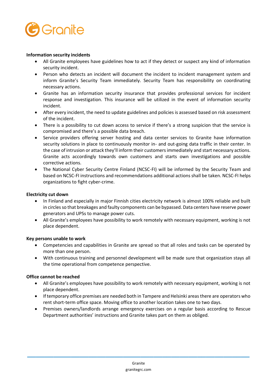

#### **Information security incidents**

- All Granite employees have guidelines how to act if they detect or suspect any kind of information security incident.
- Person who detects an incident will document the incident to incident management system and inform Granite's Security Team immediately. Security Team has responsibility on coordinating necessary actions.
- Granite has an information security insurance that provides professional services for incident response and investigation. This insurance will be utilized in the event of information security incident.
- After every incident, the need to update guidelines and policies is assessed based on risk assessment of the incident.
- There is a possibility to cut down access to service if there's a strong suspicion that the service is compromised and there's a possible data breach.
- Service providers offering server hosting and data center services to Granite have information security solutions in place to continuously monitor in- and out-going data traffic in their center. In the case of intrusion or attack they'll inform their customers immediately and start necessary actions. Granite acts accordingly towards own customers and starts own investigations and possible corrective actions.
- The National Cyber Security Centre Finland (NCSC-FI) will be informed by the Security Team and based on NCSC-FI instructions and recommendations additional actions shall be taken. NCSC-FI helps organizations to fight cyber-crime.

#### **Electricity cut down**

- In Finland and especially in major Finnish cities electricity network is almost 100% reliable and built in circles so that breakages and faulty components can be bypassed. Data centers have reserve power generators and UPSs to manage power cuts.
- All Granite's employees have possibility to work remotely with necessary equipment, working is not place dependent.

#### **Key persons unable to work**

- Competencies and capabilities in Granite are spread so that all roles and tasks can be operated by more than one person.
- With continuous training and personnel development will be made sure that organization stays all the time operational from competence perspective.

### **Office cannot be reached**

- All Granite's employees have possibility to work remotely with necessary equipment, working is not place dependent.
- If temporary office premises are needed both in Tampere and Helsinki areas there are operators who rent short-term office space. Moving office to another location takes one to two days.
- Premises owners/landlords arrange emergency exercises on a regular basis according to Rescue Department authorities' instructions and Granite takes part on them as obliged.